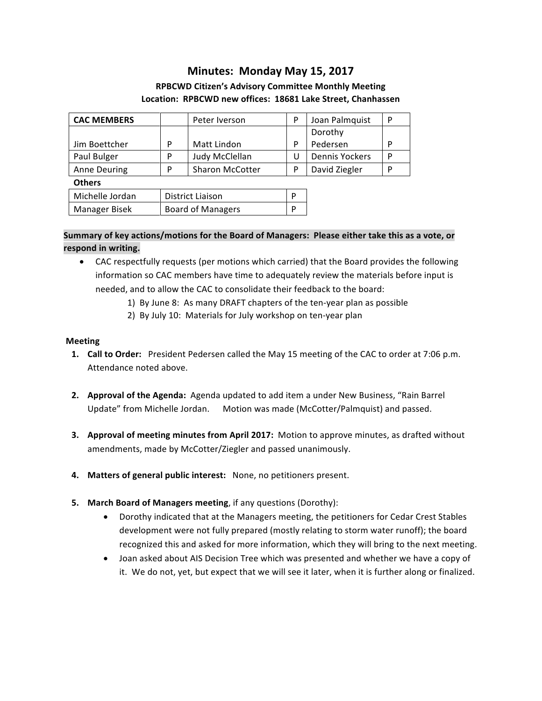# **Minutes: Monday May 15, 2017**

# **RPBCWD Citizen's Advisory Committee Monthly Meeting** Location: RPBCWD new offices: 18681 Lake Street, Chanhassen

| <b>CAC MEMBERS</b>   |   | Peter Iverson            | P | Joan Palmquist        | P |
|----------------------|---|--------------------------|---|-----------------------|---|
|                      |   |                          |   | Dorothy               |   |
| Jim Boettcher        | P | Matt Lindon              | P | Pedersen              | P |
| Paul Bulger          | P | Judy McClellan           | U | <b>Dennis Yockers</b> | P |
| <b>Anne Deuring</b>  | P | <b>Sharon McCotter</b>   | P | David Ziegler         | P |
| <b>Others</b>        |   |                          |   |                       |   |
| Michelle Jordan      |   | <b>District Liaison</b>  |   |                       |   |
| <b>Manager Bisek</b> |   | <b>Board of Managers</b> |   |                       |   |

# Summary of key actions/motions for the Board of Managers: Please either take this as a vote, or respond in writing.

- CAC respectfully requests (per motions which carried) that the Board provides the following information so CAC members have time to adequately review the materials before input is needed, and to allow the CAC to consolidate their feedback to the board:
	- 1) By June 8: As many DRAFT chapters of the ten-year plan as possible
	- 2) By July 10: Materials for July workshop on ten-year plan

#### **Meeting**

- **1. Call to Order:** President Pedersen called the May 15 meeting of the CAC to order at 7:06 p.m. Attendance noted above.
- **2. Approval of the Agenda:** Agenda updated to add item a under New Business, "Rain Barrel Update" from Michelle Jordan. Motion was made (McCotter/Palmquist) and passed.
- **3.** Approval of meeting minutes from April 2017: Motion to approve minutes, as drafted without amendments, made by McCotter/Ziegler and passed unanimously.
- 4. Matters of general public interest: None, no petitioners present.
- **5. March Board of Managers meeting**, if any questions (Dorothy):
	- Dorothy indicated that at the Managers meeting, the petitioners for Cedar Crest Stables development were not fully prepared (mostly relating to storm water runoff); the board recognized this and asked for more information, which they will bring to the next meeting.
	- Joan asked about AIS Decision Tree which was presented and whether we have a copy of it. We do not, yet, but expect that we will see it later, when it is further along or finalized.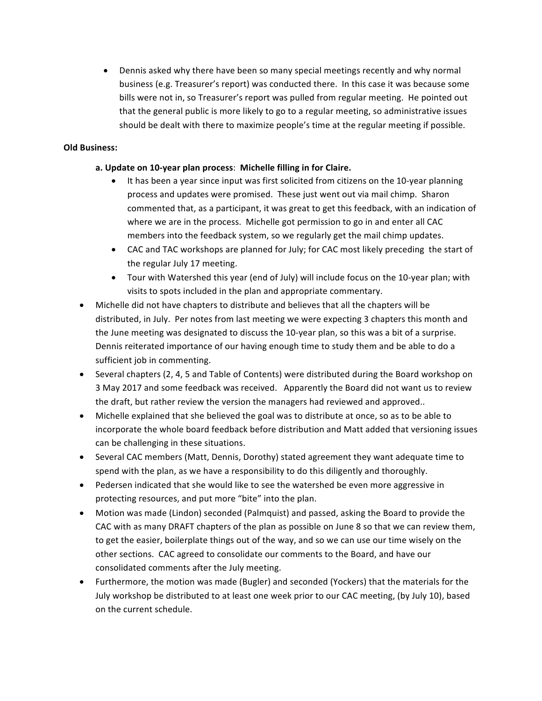• Dennis asked why there have been so many special meetings recently and why normal business (e.g. Treasurer's report) was conducted there. In this case it was because some bills were not in, so Treasurer's report was pulled from regular meeting. He pointed out that the general public is more likely to go to a regular meeting, so administrative issues should be dealt with there to maximize people's time at the regular meeting if possible.

#### **Old Business:**

#### a. Update on 10-year plan process: Michelle filling in for Claire.

- It has been a year since input was first solicited from citizens on the 10-year planning process and updates were promised. These just went out via mail chimp. Sharon commented that, as a participant, it was great to get this feedback, with an indication of where we are in the process. Michelle got permission to go in and enter all CAC members into the feedback system, so we regularly get the mail chimp updates.
- CAC and TAC workshops are planned for July; for CAC most likely preceding the start of the regular July 17 meeting.
- Tour with Watershed this year (end of July) will include focus on the 10-year plan; with visits to spots included in the plan and appropriate commentary.
- Michelle did not have chapters to distribute and believes that all the chapters will be distributed, in July. Per notes from last meeting we were expecting 3 chapters this month and the June meeting was designated to discuss the 10-year plan, so this was a bit of a surprise. Dennis reiterated importance of our having enough time to study them and be able to do a sufficient job in commenting.
- Several chapters (2, 4, 5 and Table of Contents) were distributed during the Board workshop on 3 May 2017 and some feedback was received. Apparently the Board did not want us to review the draft, but rather review the version the managers had reviewed and approved..
- Michelle explained that she believed the goal was to distribute at once, so as to be able to incorporate the whole board feedback before distribution and Matt added that versioning issues can be challenging in these situations.
- Several CAC members (Matt, Dennis, Dorothy) stated agreement they want adequate time to spend with the plan, as we have a responsibility to do this diligently and thoroughly.
- Pedersen indicated that she would like to see the watershed be even more aggressive in protecting resources, and put more "bite" into the plan.
- Motion was made (Lindon) seconded (Palmquist) and passed, asking the Board to provide the CAC with as many DRAFT chapters of the plan as possible on June 8 so that we can review them, to get the easier, boilerplate things out of the way, and so we can use our time wisely on the other sections. CAC agreed to consolidate our comments to the Board, and have our consolidated comments after the July meeting.
- Furthermore, the motion was made (Bugler) and seconded (Yockers) that the materials for the July workshop be distributed to at least one week prior to our CAC meeting, (by July 10), based on the current schedule.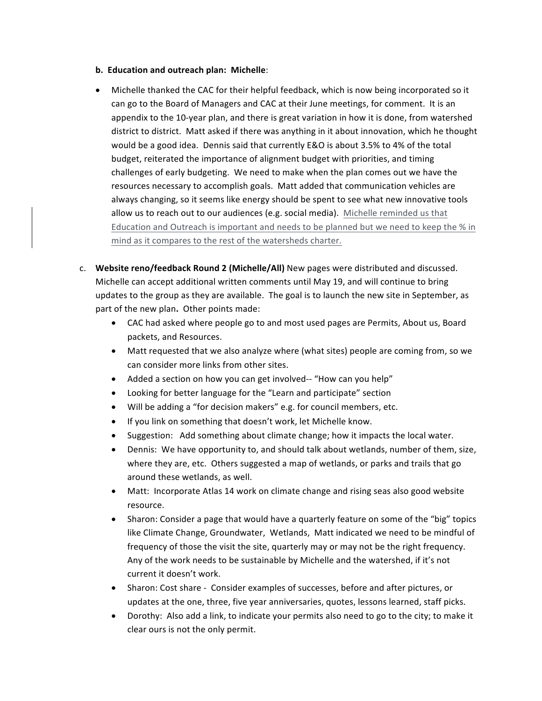- **b. Education and outreach plan: Michelle:**
- Michelle thanked the CAC for their helpful feedback, which is now being incorporated so it can go to the Board of Managers and CAC at their June meetings, for comment. It is an appendix to the 10-year plan, and there is great variation in how it is done, from watershed district to district. Matt asked if there was anything in it about innovation, which he thought would be a good idea. Dennis said that currently E&O is about 3.5% to 4% of the total budget, reiterated the importance of alignment budget with priorities, and timing challenges of early budgeting. We need to make when the plan comes out we have the resources necessary to accomplish goals. Matt added that communication vehicles are always changing, so it seems like energy should be spent to see what new innovative tools allow us to reach out to our audiences (e.g. social media). Michelle reminded us that Education and Outreach is important and needs to be planned but we need to keep the % in mind as it compares to the rest of the watersheds charter.
- c. Website reno/feedback Round 2 (Michelle/All) New pages were distributed and discussed. Michelle can accept additional written comments until May 19, and will continue to bring updates to the group as they are available. The goal is to launch the new site in September, as part of the new plan. Other points made:
	- CAC had asked where people go to and most used pages are Permits, About us, Board packets, and Resources.
	- Matt requested that we also analyze where (what sites) people are coming from, so we can consider more links from other sites.
	- Added a section on how you can get involved-- "How can you help"
	- Looking for better language for the "Learn and participate" section
	- Will be adding a "for decision makers" e.g. for council members, etc.
	- If you link on something that doesn't work, let Michelle know.
	- Suggestion: Add something about climate change; how it impacts the local water.
	- Dennis: We have opportunity to, and should talk about wetlands, number of them, size, where they are, etc. Others suggested a map of wetlands, or parks and trails that go around these wetlands, as well.
	- Matt: Incorporate Atlas 14 work on climate change and rising seas also good website resource.
	- Sharon: Consider a page that would have a quarterly feature on some of the "big" topics like Climate Change, Groundwater, Wetlands, Matt indicated we need to be mindful of frequency of those the visit the site, quarterly may or may not be the right frequency. Any of the work needs to be sustainable by Michelle and the watershed, if it's not current it doesn't work.
	- Sharon: Cost share Consider examples of successes, before and after pictures, or updates at the one, three, five year anniversaries, quotes, lessons learned, staff picks.
	- Dorothy: Also add a link, to indicate your permits also need to go to the city; to make it clear ours is not the only permit.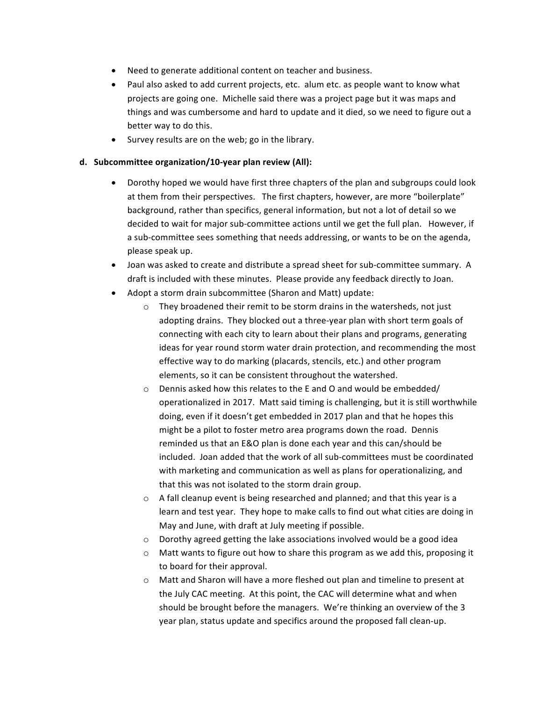- Need to generate additional content on teacher and business.
- Paul also asked to add current projects, etc. alum etc. as people want to know what projects are going one. Michelle said there was a project page but it was maps and things and was cumbersome and hard to update and it died, so we need to figure out a better way to do this.
- Survey results are on the web; go in the library.

#### d. Subcommittee organization/10-year plan review (All):

- Dorothy hoped we would have first three chapters of the plan and subgroups could look at them from their perspectives. The first chapters, however, are more "boilerplate" background, rather than specifics, general information, but not a lot of detail so we decided to wait for major sub-committee actions until we get the full plan. However, if a sub-committee sees something that needs addressing, or wants to be on the agenda, please speak up.
- Joan was asked to create and distribute a spread sheet for sub-committee summary. A draft is included with these minutes. Please provide any feedback directly to Joan.
- Adopt a storm drain subcommittee (Sharon and Matt) update:
	- $\circ$  They broadened their remit to be storm drains in the watersheds, not just adopting drains. They blocked out a three-year plan with short term goals of connecting with each city to learn about their plans and programs, generating ideas for year round storm water drain protection, and recommending the most effective way to do marking (placards, stencils, etc.) and other program elements, so it can be consistent throughout the watershed.
	- $\circ$  Dennis asked how this relates to the E and O and would be embedded/ operationalized in 2017. Matt said timing is challenging, but it is still worthwhile doing, even if it doesn't get embedded in 2017 plan and that he hopes this might be a pilot to foster metro area programs down the road. Dennis reminded us that an E&O plan is done each year and this can/should be included. Joan added that the work of all sub-committees must be coordinated with marketing and communication as well as plans for operationalizing, and that this was not isolated to the storm drain group.
	- $\circ$  A fall cleanup event is being researched and planned; and that this year is a learn and test year. They hope to make calls to find out what cities are doing in May and June, with draft at July meeting if possible.
	- $\circ$  Dorothy agreed getting the lake associations involved would be a good idea
	- $\circ$  Matt wants to figure out how to share this program as we add this, proposing it to board for their approval.
	- $\circ$  Matt and Sharon will have a more fleshed out plan and timeline to present at the July CAC meeting. At this point, the CAC will determine what and when should be brought before the managers. We're thinking an overview of the 3 year plan, status update and specifics around the proposed fall clean-up.